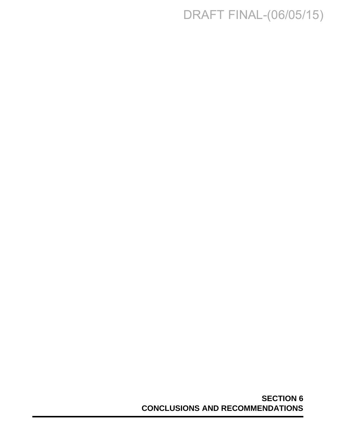## DRAFT FINAL-(06/05/15)

**SECTION 6 CONCLUSIONS AND RECOMMENDATIONS**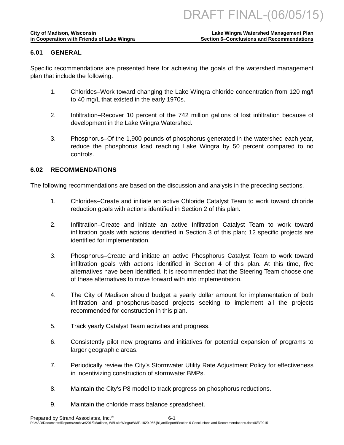### **6.01 GENERAL**

Specific recommendations are presented here for achieving the goals of the watershed management plan that include the following.

- 1. Chlorides–Work toward changing the Lake Wingra chloride concentration from 120 mg/l to 40 mg/L that existed in the early 1970s.
- 2. Infiltration–Recover 10 percent of the 742 million gallons of lost infiltration because of development in the Lake Wingra Watershed.
- 3. Phosphorus–Of the 1,900 pounds of phosphorus generated in the watershed each year, reduce the phosphorus load reaching Lake Wingra by 50 percent compared to no controls.

### **6.02 RECOMMENDATIONS**

The following recommendations are based on the discussion and analysis in the preceding sections.

- 1. Chlorides–Create and initiate an active Chloride Catalyst Team to work toward chloride reduction goals with actions identified in Section 2 of this plan.
- 2. Infiltration–Create and initiate an active Infiltration Catalyst Team to work toward infiltration goals with actions identified in Section 3 of this plan; 12 specific projects are identified for implementation.
- 3. Phosphorus–Create and initiate an active Phosphorus Catalyst Team to work toward infiltration goals with actions identified in Section 4 of this plan. At this time, five alternatives have been identified. It is recommended that the Steering Team choose one of these alternatives to move forward with into implementation.
- 4. The City of Madison should budget a yearly dollar amount for implementation of both infiltration and phosphorus-based projects seeking to implement all the projects recommended for construction in this plan.
- 5. Track yearly Catalyst Team activities and progress.
- 6. Consistently pilot new programs and initiatives for potential expansion of programs to larger geographic areas.
- 7. Periodically review the City's Stormwater Utility Rate Adjustment Policy for effectiveness in incentivizing construction of stormwater BMPs.
- 8. Maintain the City's P8 model to track progress on phosphorus reductions.
- 9. Maintain the chloride mass balance spreadsheet.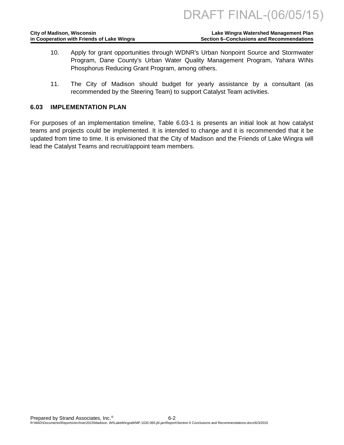| <b>City of Madison, Wisconsin</b>          | Lake Wingra Watershed Management Plan            |
|--------------------------------------------|--------------------------------------------------|
| in Cooperation with Friends of Lake Wingra | <b>Section 6–Conclusions and Recommendations</b> |

- 10. Apply for grant opportunities through WDNR's Urban Nonpoint Source and Stormwater Program, Dane County's Urban Water Quality Management Program, Yahara WINs Phosphorus Reducing Grant Program, among others.
- 11. The City of Madison should budget for yearly assistance by a consultant (as recommended by the Steering Team) to support Catalyst Team activities.

#### **6.03 IMPLEMENTATION PLAN**

For purposes of an implementation timeline, Table 6.03-1 is presents an initial look at how catalyst teams and projects could be implemented. It is intended to change and it is recommended that it be updated from time to time. It is envisioned that the City of Madison and the Friends of Lake Wingra will lead the Catalyst Teams and recruit/appoint team members.